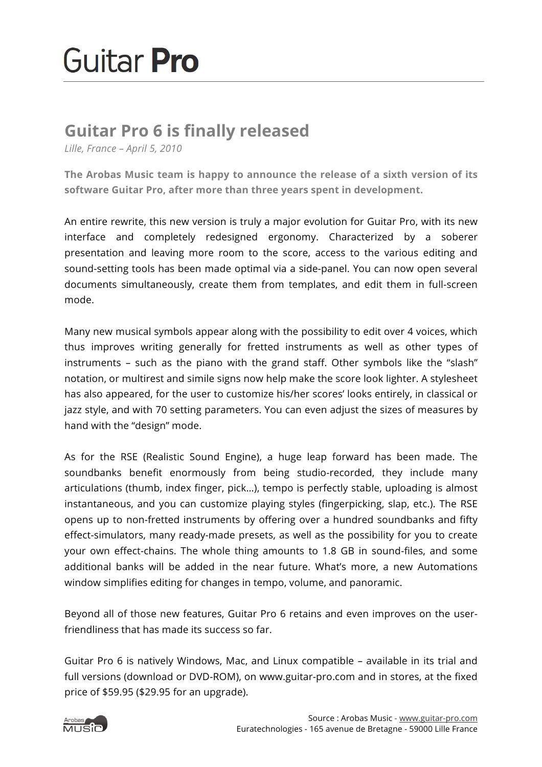## Guitar **Pro**

## **Guitar Pro 6 is finally released**

*Lille, France – April 5, 2010*

**The Arobas Music team is happy to announce the release of a sixth version of its software Guitar Pro, after more than three years spent in development.**

An entire rewrite, this new version is truly a major evolution for Guitar Pro, with its new interface and completely redesigned ergonomy. Characterized by a soberer presentation and leaving more room to the score, access to the various editing and sound-setting tools has been made optimal via a side-panel. You can now open several documents simultaneously, create them from templates, and edit them in full-screen mode.

Many new musical symbols appear along with the possibility to edit over 4 voices, which thus improves writing generally for fretted instruments as well as other types of instruments – such as the piano with the grand staff. Other symbols like the "slash" notation, or multirest and simile signs now help make the score look lighter. A stylesheet has also appeared, for the user to customize his/her scores' looks entirely, in classical or jazz style, and with 70 setting parameters. You can even adjust the sizes of measures by hand with the "design" mode.

As for the RSE (Realistic Sound Engine), a huge leap forward has been made. The soundbanks benefit enormously from being studio-recorded, they include many articulations (thumb, index finger, pick…), tempo is perfectly stable, uploading is almost instantaneous, and you can customize playing styles (fingerpicking, slap, etc.). The RSE opens up to non-fretted instruments by offering over a hundred soundbanks and fifty effect-simulators, many ready-made presets, as well as the possibility for you to create your own effect-chains. The whole thing amounts to 1.8 GB in sound-files, and some additional banks will be added in the near future. What's more, a new Automations window simplifies editing for changes in tempo, volume, and panoramic.

Beyond all of those new features, Guitar Pro 6 retains and even improves on the userfriendliness that has made its success so far.

Guitar Pro 6 is natively Windows, Mac, and Linux compatible – available in its trial and full versions (download or DVD-ROM), on www.guitar-pro.com and in stores, at the fixed price of \$59.95 (\$29.95 for an upgrade).